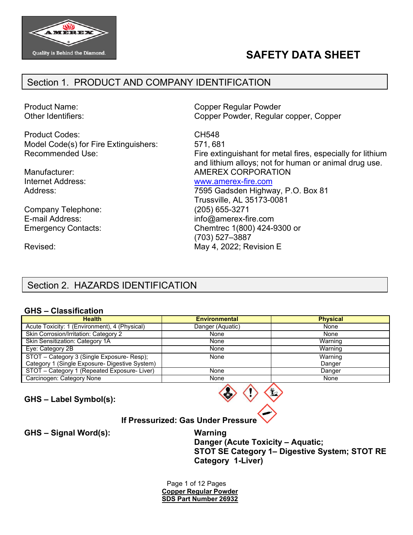

# **SAFETY DATA SHEET**

## Section 1. PRODUCT AND COMPANY IDENTIFICATION

Product Name: Other Identifiers:

Product Codes: Model Code(s) for Fire Extinguishers: Recommended Use:

Manufacturer: Internet Address: Address:

Company Telephone: E-mail Address: Emergency Contacts: Copper Regular Powder Copper Powder, Regular copper, Copper

CH548 571, 681 Fire extinguishant for metal fires, especially for lithium and lithium alloys; not for human or animal drug use. AMEREX CORPORATION

### [www.amerex-fire.com](http://www.amerex-fire.com/)

7595 Gadsden Highway, P.O. Box 81 Trussville, AL 35173-0081 (205) 655-3271 [info@amerex-fire.com](mailto:info@amerex-fire.com) Chemtrec 1(800) 424-9300 or (703) 527–3887 May 4, 2022; Revision E

Revised:

## Section 2. HAZARDS IDENTIFICATION

#### **GHS – Classification**

| <b>Health</b>                                  | <b>Environmental</b> | <b>Physical</b> |
|------------------------------------------------|----------------------|-----------------|
| Acute Toxicity: 1 (Environment), 4 (Physical)  | Danger (Aquatic)     | None            |
| Skin Corrosion/Irritation: Category 2          | None                 | None            |
| Skin Sensitization: Category 1A                | None                 | Warning         |
| Eye: Category 2B                               | None                 | Warning         |
| STOT - Category 3 (Single Exposure- Resp);     | None                 | Warning         |
| Category 1 (Single Exposure- Digestive System) |                      | Danger          |
| STOT - Category 1 (Repeated Exposure-Liver)    | None                 | Danger          |
| Carcinogen: Category None                      | None                 | None            |

**GHS – Label Symbol(s):**



### **If Pressurized: Gas Under Pressure**

**GHS – Signal Word(s): Warning**

**Danger (Acute Toxicity – Aquatic; STOT SE Category 1– Digestive System; STOT RE Category 1-Liver)**

Page 1 of 12 Pages **Copper Regular Powder SDS Part Number 26932**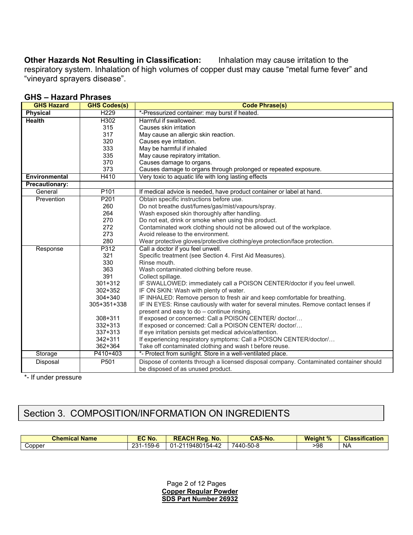**Other Hazards Not Resulting in Classification:** Inhalation may cause irritation to the respiratory system. Inhalation of high volumes of copper dust may cause "metal fume fever" and "vineyard sprayers disease".

| <b>GHS Hazard</b>     | <b>GHS Codes(s)</b> | <b>Code Phrase(s)</b>                                                                  |
|-----------------------|---------------------|----------------------------------------------------------------------------------------|
| <b>Physical</b>       | H <sub>229</sub>    | *-Pressurized container: may burst if heated.                                          |
| <b>Health</b>         | H302                | Harmful if swallowed.                                                                  |
|                       | 315                 | Causes skin irritation                                                                 |
|                       | 317                 | May cause an allergic skin reaction.                                                   |
|                       | 320                 | Causes eye irritation.                                                                 |
|                       | 333                 | May be harmful if inhaled                                                              |
|                       | 335                 | May cause repiratory irritation.                                                       |
|                       | 370                 | Causes damage to organs.                                                               |
|                       | 373                 | Causes damage to organs through prolonged or repeated exposure.                        |
| <b>Environmental</b>  | H410                | Very toxic to aquatic life with long lasting effects                                   |
| <b>Precautionary:</b> |                     |                                                                                        |
| General               | P <sub>101</sub>    | If medical advice is needed, have product container or label at hand.                  |
| Prevention            | P201                | Obtain specific instructions before use.                                               |
|                       | 260                 | Do not breathe dust/fumes/gas/mist/vapours/spray.                                      |
|                       | 264                 | Wash exposed skin thoroughly after handling.                                           |
|                       | 270                 | Do not eat, drink or smoke when using this product.                                    |
|                       | 272                 | Contaminated work clothing should not be allowed out of the workplace.                 |
|                       | 273                 | Avoid release to the environment.                                                      |
|                       | 280                 | Wear protective gloves/protective clothing/eye protection/face protection.             |
| Response              | P312                | Call a doctor if you feel unwell.                                                      |
|                       | 321                 | Specific treatment (see Section 4. First Aid Measures).                                |
|                       | 330                 | Rinse mouth.                                                                           |
|                       | 363                 | Wash contaminated clothing before reuse.                                               |
|                       | 391                 | Collect spillage.                                                                      |
|                       | 301+312             | IF SWALLOWED: immediately call a POISON CENTER/doctor if you feel unwell.              |
|                       | $302 + 352$         | IF ON SKIN: Wash with plenty of water.                                                 |
|                       | $304 + 340$         | IF INHALED: Remove person to fresh air and keep comfortable for breathing.             |
|                       | 305+351+338         | IF IN EYES: Rinse cautiously with water for several minutes. Remove contact lenses if  |
|                       |                     | present and easy to do - continue rinsing.                                             |
|                       | $308 + 311$         | If exposed or concerned: Call a POISON CENTER/ doctor/                                 |
|                       | 332+313             | If exposed or concerned: Call a POISON CENTER/ doctor/                                 |
|                       | $337 + 313$         | If eye irritation persists get medical advice/attention.                               |
|                       | $342 + 311$         | If experiencing respiratory symptoms: Call a POISON CENTER/doctor/                     |
|                       | 362+364             | Take off contaminated clothing and wash t before reuse.                                |
| Storage               | P410+403            | *- Protect from sunlight. Store in a well-ventilated place.                            |
| Disposal              | P501                | Dispose of contents through a licensed disposal company. Contaminated container should |
|                       |                     | be disposed of as unused product.                                                      |

#### **GHS – Hazard Phrases**

\*- If under pressure

## Section 3. COMPOSITION/INFORMATION ON INGREDIENTS

| <b>Chemical</b><br>.<br><b>Name</b> | EC No.                  | <b>REACH Rea.</b><br>No.         | <b>CAS-No.</b> | <b>Weight %</b><br>70 | <b>Classification</b> |
|-------------------------------------|-------------------------|----------------------------------|----------------|-----------------------|-----------------------|
| ∴opper                              | ا-59 ا<br>ົດລາ<br>ا ت ∠ | . 154-42<br>211948015'<br>$01-2$ | 7440-50-8      | >98                   | NA                    |

Page 2 of 12 Pages **Copper Regular Powder SDS Part Number 26932**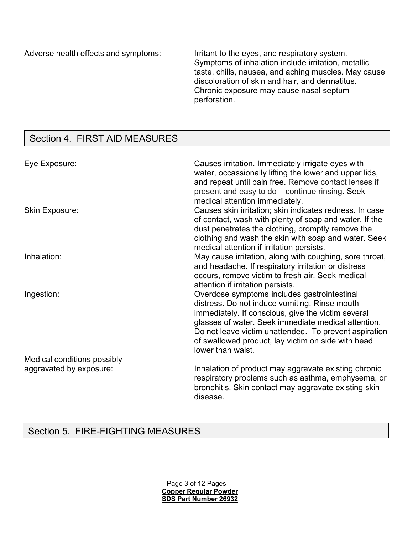Adverse health effects and symptoms: Irritant to the eyes, and respiratory system.

Symptoms of inhalation include irritation, metallic taste, chills, nausea, and aching muscles. May cause discoloration of skin and hair, and dermatitus. Chronic exposure may cause nasal septum perforation.

## Section 4. FIRST AID MEASURES

| Eye Exposure:               | Causes irritation. Immediately irrigate eyes with<br>water, occassionally lifting the lower and upper lids,<br>and repeat until pain free. Remove contact lenses if<br>present and easy to do - continue rinsing. Seek<br>medical attention immediately.                                                                                      |
|-----------------------------|-----------------------------------------------------------------------------------------------------------------------------------------------------------------------------------------------------------------------------------------------------------------------------------------------------------------------------------------------|
| <b>Skin Exposure:</b>       | Causes skin irritation; skin indicates redness. In case<br>of contact, wash with plenty of soap and water. If the<br>dust penetrates the clothing, promptly remove the<br>clothing and wash the skin with soap and water. Seek<br>medical attention if irritation persists.                                                                   |
| Inhalation:                 | May cause irritation, along with coughing, sore throat,<br>and headache. If respiratory irritation or distress<br>occurs, remove victim to fresh air. Seek medical<br>attention if irritation persists.                                                                                                                                       |
| Ingestion:                  | Overdose symptoms includes gastrointestinal<br>distress. Do not induce vomiting. Rinse mouth<br>immediately. If conscious, give the victim several<br>glasses of water. Seek immediate medical attention.<br>Do not leave victim unattended. To prevent aspiration<br>of swallowed product, lay victim on side with head<br>lower than waist. |
| Medical conditions possibly |                                                                                                                                                                                                                                                                                                                                               |
| aggravated by exposure:     | Inhalation of product may aggravate existing chronic<br>respiratory problems such as asthma, emphysema, or<br>bronchitis. Skin contact may aggravate existing skin<br>disease.                                                                                                                                                                |

## Section 5. FIRE-FIGHTING MEASURES

Page 3 of 12 Pages **Copper Regular Powder SDS Part Number 26932**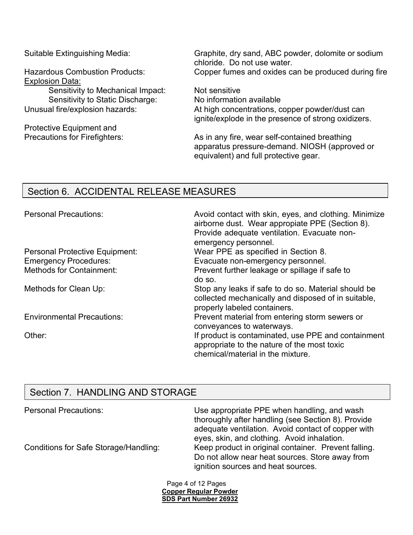Explosion Data:

Sensitivity to Mechanical Impact: Not sensitive<br>Sensitivity to Static Discharge: No information available Sensitivity to Static Discharge:<br>Unusual fire/explosion hazards:

Protective Equipment and

Suitable Extinguishing Media: Graphite, dry sand, ABC powder, dolomite or sodium chloride. Do not use water. Hazardous Combustion Products: Copper fumes and oxides can be produced during fire

> At high concentrations, copper powder/dust can ignite/explode in the presence of strong oxidizers.

Precautions for Firefighters: As in any fire, wear self-contained breathing apparatus pressure-demand. NIOSH (approved or equivalent) and full protective gear.

## Section 6. ACCIDENTAL RELEASE MEASURES

| <b>Personal Precautions:</b>          | Avoid contact with skin, eyes, and clothing. Minimize<br>airborne dust. Wear appropiate PPE (Section 8).<br>Provide adequate ventilation. Evacuate non-<br>emergency personnel. |
|---------------------------------------|---------------------------------------------------------------------------------------------------------------------------------------------------------------------------------|
| <b>Personal Protective Equipment:</b> | Wear PPE as specified in Section 8.                                                                                                                                             |
| <b>Emergency Procedures:</b>          | Evacuate non-emergency personnel.                                                                                                                                               |
| <b>Methods for Containment:</b>       | Prevent further leakage or spillage if safe to<br>do so.                                                                                                                        |
| Methods for Clean Up:                 | Stop any leaks if safe to do so. Material should be<br>collected mechanically and disposed of in suitable,<br>properly labeled containers.                                      |
| <b>Environmental Precautions:</b>     | Prevent material from entering storm sewers or<br>conveyances to waterways.                                                                                                     |
| Other:                                | If product is contaminated, use PPE and containment<br>appropriate to the nature of the most toxic<br>chemical/material in the mixture.                                         |

## Section 7. HANDLING AND STORAGE

| <b>Personal Precautions:</b>          | Use appropriate PPE when handling, and wash<br>thoroughly after handling (see Section 8). Provide<br>adequate ventilation. Avoid contact of copper with<br>eyes, skin, and clothing. Avoid inhalation. |
|---------------------------------------|--------------------------------------------------------------------------------------------------------------------------------------------------------------------------------------------------------|
| Conditions for Safe Storage/Handling: | Keep product in original container. Prevent falling.<br>Do not allow near heat sources. Store away from<br>ignition sources and heat sources.                                                          |

Page 4 of 12 Pages **Copper Regular Powder SDS Part Number 26932**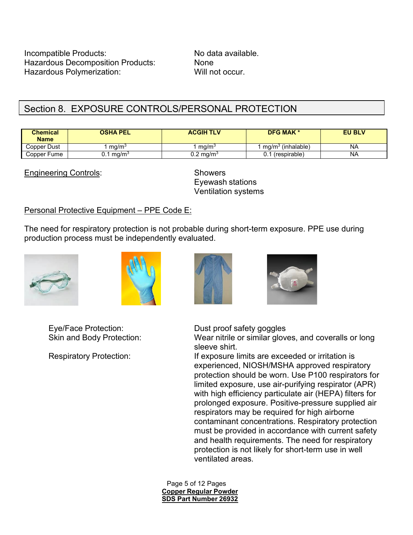Incompatible Products: No data available. Hazardous Decomposition Products: None Hazardous Polymerization: Will not occur.

## Section 8. EXPOSURE CONTROLS/PERSONAL PROTECTION

| <b>Chemical</b><br><b>Name</b> | <b>OSHA PEL</b>       | <b>ACGIH TLV</b>     | <b>DFG MAK *</b>              | <b>EU BLV</b> |
|--------------------------------|-----------------------|----------------------|-------------------------------|---------------|
| Copper Dust                    | ma/m <sup>3</sup>     | ma/m <sup>3</sup>    | mg/m <sup>3</sup> (inhalable) | NA            |
| Copper Fume                    | J.1 mg/m <sup>3</sup> | $0.2 \text{ mg/m}^3$ | 0.1 (respirable)              | ΝA            |

Engineering Controls: Showers

Eyewash stations Ventilation systems

### Personal Protective Equipment – PPE Code E:

The need for respiratory protection is not probable during short-term exposure. PPE use during production process must be independently evaluated.









Eye/Face Protection: Dust proof safety goggles

Skin and Body Protection: Wear nitrile or similar gloves, and coveralls or long sleeve shirt.

Respiratory Protection: If exposure limits are exceeded or irritation is experienced, NIOSH/MSHA approved respiratory protection should be worn. Use P100 respirators for limited exposure, use air-purifying respirator (APR) with high efficiency particulate air (HEPA) filters for prolonged exposure. Positive-pressure supplied air respirators may be required for high airborne contaminant concentrations. Respiratory protection must be provided in accordance with current safety and health requirements. The need for respiratory protection is not likely for short-term use in well ventilated areas.

> Page 5 of 12 Pages **Copper Regular Powder SDS Part Number 26932**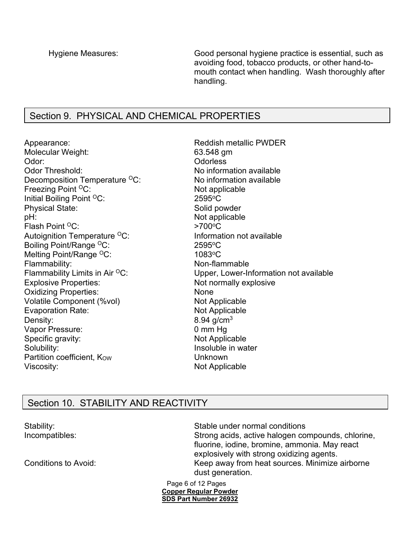Hygiene Measures: Good personal hygiene practice is essential, such as avoiding food, tobacco products, or other hand-tomouth contact when handling. Wash thoroughly after handling.

### Section 9. PHYSICAL AND CHEMICAL PROPERTIES

Appearance:  $\qquad \qquad$  Reddish metallic PWDER Molecular Weight: 63.548 gm Odor: Odorless Decomposition Temperature  ${}^{0}C$ : No information available Freezing Point <sup>O</sup>C: Not applicable Initial Boiling Point <sup>O</sup>C: 2595<sup>o</sup>C Physical State: Solid powder<br>
DH: Solid powder<br>
DH: Flash Point <sup>O</sup>C:  $>700^{\circ}$ C Autoignition Temperature <sup>o</sup>C: Information not available<br>Boiling Point/Range <sup>o</sup>C: 2595°C Boiling Point/Range <sup>O</sup>C: Melting Point/Range <sup>O</sup>C: 1083 <sup>o</sup>C Flammability: Non-flammable Explosive Properties: Not normally explosive Oxidizing Properties: None Volatile Component (%vol) Not Applicable Evaporation Rate: Not Applicable Density: 8.94 g/cm<sup>3</sup> Vapor Pressure: 0 mm Hg Specific gravity: Not Applicable Solubility: Solubility: Insoluble in water Partition coefficient, Kow Network Charles Unknown Viscosity: Not Applicable

No information available Not applicable Flammability Limits in Air  ${}^{0}C$ : Upper, Lower-Information not available

## Section 10. STABILITY AND REACTIVITY

Stability: Stable under normal conditions Incompatibles: Strong acids, active halogen compounds, chlorine, fluorine, iodine, bromine, ammonia. May react explosively with strong oxidizing agents. Conditions to Avoid: Conditions to Avoid: Keep away from heat sources. Minimize airborne dust generation.

> Page 6 of 12 Pages **Copper Regular Powder SDS Part Number 26932**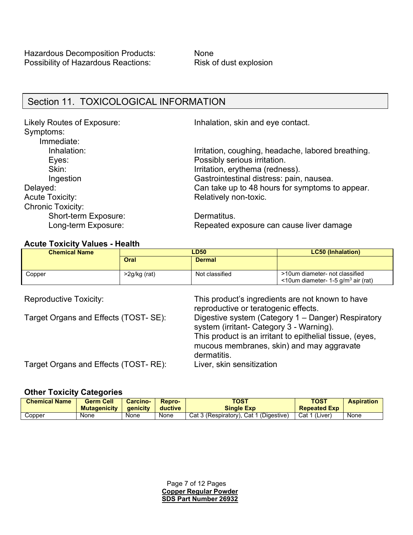### Section 11. TOXICOLOGICAL INFORMATION

Symptoms: Immediate: Eyes: Possibly serious irritation. Acute Toxicity: Acute Toxicity: Acute Toxicity: Chronic Toxicity: Short-term Exposure: Dermatitus.

Likely Routes of Exposure: Inhalation, skin and eye contact.

Inhalation: Inhalation is a series of the left of the lines of the lines of the lines of the lines of the lines in the lines of the lines of the lines of the lines of the lines of the lines of the lines of the lines of the Skin: Skin: Irritation, erythema (redness). Ingestion Gastrointestinal distress: pain, nausea. Delayed: Can take up to 48 hours for symptoms to appear.

Long-term Exposure: Repeated exposure can cause liver damage

#### **Acute Toxicity Values - Health**

| <b>Chemical Name</b> | LD50         |                | <b>LC50</b> (Inhalation)                                                               |
|----------------------|--------------|----------------|----------------------------------------------------------------------------------------|
|                      | Oral         | <b>Dermal</b>  |                                                                                        |
| Copper               | >2g/kg (rat) | Not classified | >10um diameter- not classified<br>$\leq$ 10um diameter- 1-5 g/m <sup>3</sup> air (rat) |

Reproductive Toxicity: This product's ingredients are not known to have reproductive or teratogenic effects. Target Organs and Effects (TOST- SE): Digestive system (Category 1 – Danger) Respiratory system (irritant- Category 3 - Warning). This product is an irritant to epithelial tissue, (eyes, mucous membranes, skin) and may aggravate dermatitis.

Target Organs and Effects (TOST- RE): Liver, skin sensitization

#### **Other Toxicity Categories**

| <b>Chemical Name</b> | <b>Germ Cell</b><br><b>Mutagenicity</b> | <b>Carcino-</b><br><b>a</b> enicity | Repro-<br>ductive | TOST<br><b>Single Exp</b>              | TOST<br><b>Repeated Exp</b> | <b>Aspiration</b> |
|----------------------|-----------------------------------------|-------------------------------------|-------------------|----------------------------------------|-----------------------------|-------------------|
| Copper               | None                                    | None                                | None              | Cat 3 (Respiratory). Cat 1 (Digestive) | Cat 1 (Liver)               | None              |

Page 7 of 12 Pages **Copper Regular Powder SDS Part Number 26932**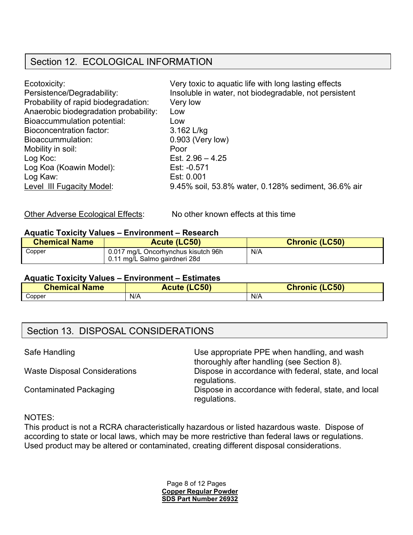## Section 12. ECOLOGICAL INFORMATION

| Ecotoxicity:                          | Very toxic to aquatic life with long lasting effects  |
|---------------------------------------|-------------------------------------------------------|
| Persistence/Degradability:            | Insoluble in water, not biodegradable, not persistent |
| Probability of rapid biodegradation:  | Very low                                              |
| Anaerobic biodegradation probability: | Low                                                   |
| <b>Bioaccummulation potential:</b>    | Low                                                   |
| Bioconcentration factor:              | 3.162 L/kg                                            |
| Bioaccummulation:                     | 0.903 (Very low)                                      |
| Mobility in soil:                     | Poor                                                  |
| Log Koc:                              | Est. $2.96 - 4.25$                                    |
| Log Koa (Koawin Model):               | Est: -0.571                                           |
| Log Kaw:                              | Est: 0.001                                            |
| Level III Fugacity Model:             | 9.45% soil, 53.8% water, 0.128% sediment, 36.6% air   |

Other Adverse Ecological Effects: No other known effects at this time

#### **Aquatic Toxicity Values – Environment – Research**

| <b>Chemical Name</b> | Acute (LC50)                                                         | <b>Chronic (LC50)</b> |
|----------------------|----------------------------------------------------------------------|-----------------------|
| Copper               | 0.017 mg/L Oncorhynchus kisutch 96h<br>0.11 mg/L Salmo gairdneri 28d | N/A                   |

#### **Aquatic Toxicity Values – Environment – Estimates**

| <b>Chemical Name</b> | <b>Acute (LC50)</b> | <b>Chronic (LC50)</b> |
|----------------------|---------------------|-----------------------|
| Copper               | N/A                 | N/f                   |

## Section 13. DISPOSAL CONSIDERATIONS

| Safe Handling                        | Use appropriate PPE when handling, and wash<br>thoroughly after handling (see Section 8). |
|--------------------------------------|-------------------------------------------------------------------------------------------|
| <b>Waste Disposal Considerations</b> | Dispose in accordance with federal, state, and local<br>regulations.                      |
| <b>Contaminated Packaging</b>        | Dispose in accordance with federal, state, and local<br>regulations.                      |

#### NOTES:

This product is not a RCRA characteristically hazardous or listed hazardous waste. Dispose of according to state or local laws, which may be more restrictive than federal laws or regulations. Used product may be altered or contaminated, creating different disposal considerations.

> Page 8 of 12 Pages **Copper Regular Powder SDS Part Number 26932**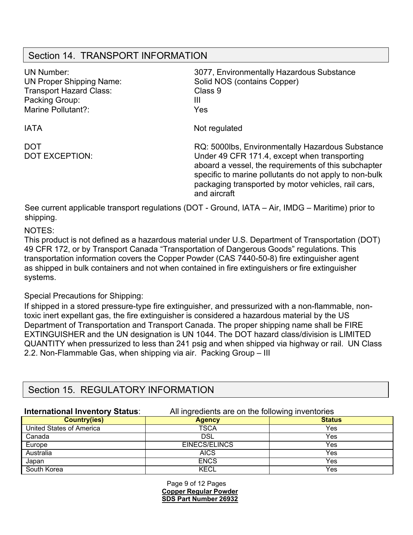### Section 14. TRANSPORT INFORMATION

| <b>UN Number:</b><br><b>UN Proper Shipping Name:</b><br><b>Transport Hazard Class:</b><br>Packing Group:<br>Marine Pollutant?: | 3077, Environmentally Hazardous Substance<br>Solid NOS (contains Copper)<br>Class 9<br>Ш<br>Yes                                                                                                                                                                                           |
|--------------------------------------------------------------------------------------------------------------------------------|-------------------------------------------------------------------------------------------------------------------------------------------------------------------------------------------------------------------------------------------------------------------------------------------|
| <b>IATA</b>                                                                                                                    | Not regulated                                                                                                                                                                                                                                                                             |
| <b>DOT</b><br><b>DOT EXCEPTION:</b>                                                                                            | RQ: 5000lbs, Environmentally Hazardous Substance<br>Under 49 CFR 171.4, except when transporting<br>aboard a vessel, the requirements of this subchapter<br>specific to marine pollutants do not apply to non-bulk<br>packaging transported by motor vehicles, rail cars,<br>and aircraft |

See current applicable transport regulations (DOT - Ground, IATA – Air, IMDG – Maritime) prior to shipping.

NOTES:

This product is not defined as a hazardous material under U.S. Department of Transportation (DOT) 49 CFR 172, or by Transport Canada "Transportation of Dangerous Goods" regulations. This transportation information covers the Copper Powder (CAS 7440-50-8) fire extinguisher agent as shipped in bulk containers and not when contained in fire extinguishers or fire extinguisher systems.

#### Special Precautions for Shipping:

If shipped in a stored pressure-type fire extinguisher, and pressurized with a non-flammable, nontoxic inert expellant gas, the fire extinguisher is considered a hazardous material by the US Department of Transportation and Transport Canada. The proper shipping name shall be FIRE EXTINGUISHER and the UN designation is UN 1044. The DOT hazard class/division is LIMITED QUANTITY when pressurized to less than 241 psig and when shipped via highway or rail. UN Class 2.2. Non-Flammable Gas, when shipping via air. Packing Group – III

## Section 15. REGULATORY INFORMATION

### **International Inventory Status:** All ingredients are on the following inventories

| <b>Country(ies)</b>      | <b>Agency</b> | <b>Status</b> |
|--------------------------|---------------|---------------|
| United States of America | <b>TSCA</b>   | Yes           |
| Canada                   | DSL           | Yes           |
| Europe                   | EINECS/ELINCS | Yes           |
| Australia                | <b>AICS</b>   | Yes           |
| Japan                    | <b>ENCS</b>   | Yes           |
| South Korea              | KECL          | Yes           |

Page 9 of 12 Pages **Copper Regular Powder SDS Part Number 26932**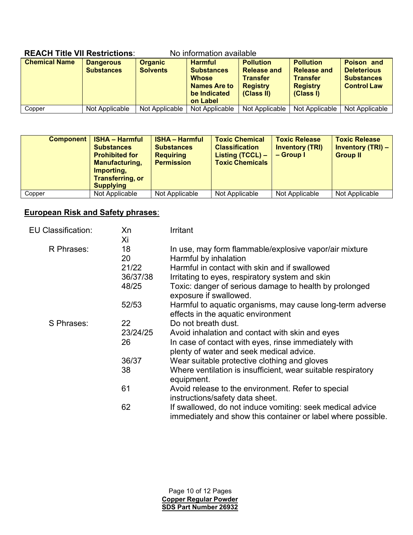| INLAVII TIUC VII RGJU IGUONJ.<br>no implination available |                                       |                                   |                                                                                                        |                                                                                            |                                                                                           |                                                                                    |
|-----------------------------------------------------------|---------------------------------------|-----------------------------------|--------------------------------------------------------------------------------------------------------|--------------------------------------------------------------------------------------------|-------------------------------------------------------------------------------------------|------------------------------------------------------------------------------------|
| <b>Chemical Name</b>                                      | <b>Dangerous</b><br><b>Substances</b> | <b>Organic</b><br><b>Solvents</b> | <b>Harmful</b><br><b>Substances</b><br><b>Whose</b><br><b>Names Are to</b><br>be Indicated<br>on Label | <b>Pollution</b><br><b>Release and</b><br><b>Transfer</b><br><b>Registry</b><br>(Class II) | <b>Pollution</b><br><b>Release and</b><br><b>Transfer</b><br><b>Registry</b><br>(Class I) | <b>Poison and</b><br><b>Deleterious</b><br><b>Substances</b><br><b>Control Law</b> |
| Copper                                                    | Not Applicable                        | Not Applicable                    | Not Applicable                                                                                         | Not Applicable                                                                             | Not Applicable                                                                            | Not Applicable                                                                     |

### **REACH Title VII Restrictions**: No information available

| Component | <b>ISHA - Harmful</b><br><b>Substances</b><br><b>Prohibited for</b><br><b>Manufacturing,</b><br>Importing,<br><b>Transferring, or</b><br><b>Supplying</b> | <b>ISHA – Harmful</b><br><b>Substances</b><br><b>Requiring</b><br><b>Permission</b> | <b>Toxic Chemical</b><br><b>Classification</b><br>Listing $(TCCL)$ –<br><b>Toxic Chemicals</b> | <b>Toxic Release</b><br><b>Inventory (TRI)</b><br>$-$ Group I | <b>Toxic Release</b><br><b>Inventory (TRI) –</b><br><b>Group II</b> |
|-----------|-----------------------------------------------------------------------------------------------------------------------------------------------------------|-------------------------------------------------------------------------------------|------------------------------------------------------------------------------------------------|---------------------------------------------------------------|---------------------------------------------------------------------|
| Copper    | Not Applicable                                                                                                                                            | Not Applicable                                                                      | Not Applicable                                                                                 | Not Applicable                                                | Not Applicable                                                      |

### **European Risk and Safety phrases**:

| <b>EU Classification:</b> | Xn<br>Хi                               | Irritant                                                                                                                                                                                                                                                                |
|---------------------------|----------------------------------------|-------------------------------------------------------------------------------------------------------------------------------------------------------------------------------------------------------------------------------------------------------------------------|
| R Phrases:                | 18<br>20<br>21/22<br>36/37/38<br>48/25 | In use, may form flammable/explosive vapor/air mixture<br>Harmful by inhalation<br>Harmful in contact with skin and if swallowed<br>Irritating to eyes, respiratory system and skin<br>Toxic: danger of serious damage to health by prolonged<br>exposure if swallowed. |
|                           | 52/53                                  | Harmful to aquatic organisms, may cause long-term adverse<br>effects in the aquatic environment                                                                                                                                                                         |
| S Phrases:                | 22<br>23/24/25<br>26                   | Do not breath dust.<br>Avoid inhalation and contact with skin and eyes<br>In case of contact with eyes, rinse immediately with<br>plenty of water and seek medical advice.                                                                                              |
|                           | 36/37<br>38                            | Wear suitable protective clothing and gloves<br>Where ventilation is insufficient, wear suitable respiratory<br>equipment.                                                                                                                                              |
|                           | 61                                     | Avoid release to the environment. Refer to special<br>instructions/safety data sheet.                                                                                                                                                                                   |
|                           | 62                                     | If swallowed, do not induce vomiting: seek medical advice<br>immediately and show this container or label where possible.                                                                                                                                               |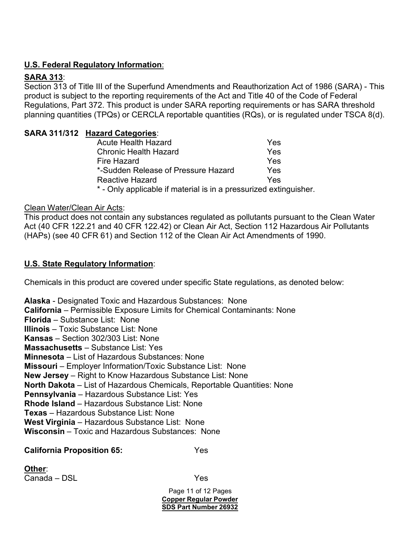### **U.S. Federal Regulatory Information**:

### **SARA 313**:

Section 313 of Title III of the Superfund Amendments and Reauthorization Act of 1986 (SARA) - This product is subject to the reporting requirements of the Act and Title 40 of the Code of Federal Regulations, Part 372. This product is under SARA reporting requirements or has SARA threshold planning quantities (TPQs) or CERCLA reportable quantities (RQs), or is regulated under TSCA 8(d).

### **SARA 311/312 Hazard Categories**:

| <b>Acute Health Hazard</b>          | Yes |
|-------------------------------------|-----|
| <b>Chronic Health Hazard</b>        | Yes |
| Fire Hazard                         | Yes |
| *-Sudden Release of Pressure Hazard | Yes |
| Reactive Hazard                     | Yes |
|                                     |     |

- Only applicable if material is in a pressurized extinguisher.

### Clean Water/Clean Air Acts:

This product does not contain any substances regulated as pollutants pursuant to the Clean Water Act (40 CFR 122.21 and 40 CFR 122.42) or Clean Air Act, Section 112 Hazardous Air Pollutants (HAPs) (see 40 CFR 61) and Section 112 of the Clean Air Act Amendments of 1990.

### **U.S. State Regulatory Information**:

Chemicals in this product are covered under specific State regulations, as denoted below:

**Alaska** - Designated Toxic and Hazardous Substances: None **California** – Permissible Exposure Limits for Chemical Contaminants: None **Florida** – Substance List: None **Illinois** – Toxic Substance List: None **Kansas** – Section 302/303 List: None **Massachusetts** – Substance List: Yes **Minnesota** – List of Hazardous Substances: None **Missouri** – Employer Information/Toxic Substance List: None **New Jersey** – Right to Know Hazardous Substance List: None **North Dakota** – List of Hazardous Chemicals, Reportable Quantities: None **Pennsylvania** – Hazardous Substance List: Yes **Rhode Island** – Hazardous Substance List: None **Texas** – Hazardous Substance List: None **West Virginia** – Hazardous Substance List: None **Wisconsin** – Toxic and Hazardous Substances: None

### **California Proposition 65:** Yes

**Other**: Canada – DSL Yes

Page 11 of 12 Pages **Copper Regular Powder SDS Part Number 26932**